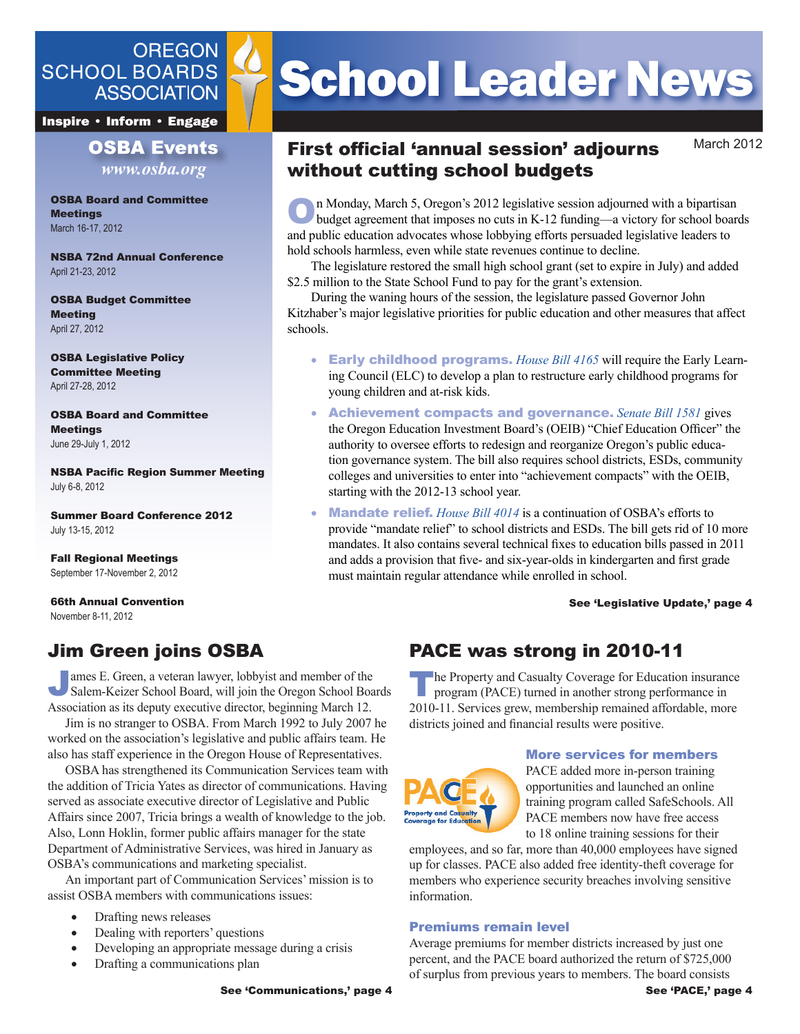## **OREGON SCHOOL BOARDS ASSOCIATION**

**Inspire • Inform • Engage** 

## **OSBA Events** *www.osba.org*

OSBA Board and Committee **Meetings** March 16-17, 2012

NSBA 72nd Annual Conference April 21-23, 2012

OSBA Budget Committee Meeting April 27, 2012

OSBA Legislative Policy Committee Meeting April 27-28, 2012

OSBA Board and Committee **Meetings** June 29-July 1, 2012

NSBA Pacific Region Summer Meeting July 6-8, 2012

Summer Board Conference 2012 July 13-15, 2012

Fall Regional Meetings September 17-November 2, 2012

66th Annual Convention November 8-11, 2012

## Jim Green joins OSBA

James E. Green, a veteran lawyer, lobbyist and member of the Salem-Keizer School Board, will join the Oregon School Boards Association as its deputy executive director, beginning March 12.

Jim is no stranger to OSBA. From March 1992 to July 2007 he worked on the association's legislative and public affairs team. He also has staff experience in the Oregon House of Representatives.

OSBA has strengthened its Communication Services team with the addition of Tricia Yates as director of communications. Having served as associate executive director of Legislative and Public Affairs since 2007, Tricia brings a wealth of knowledge to the job. Also, Lonn Hoklin, former public affairs manager for the state Department of Administrative Services, was hired in January as OSBA's communications and marketing specialist.

An important part of Communication Services' mission is to assist OSBA members with communications issues:

- Drafting news releases
- Dealing with reporters' questions
- Developing an appropriate message during a crisis
- Drafting a communications plan

# **School Leader News**

## First official 'annual session' adjourns without cutting school budgets

March 2012

On Monday, March 5, Oregon's 2012 legislative session adjourned with a bipartisan budget agreement that imposes no cuts in K-12 funding—a victory for school boards and public education advocates whose lobbying efforts persuaded legislative leaders to hold schools harmless, even while state revenues continue to decline.

The legislature restored the small high school grant (set to expire in July) and added \$2.5 million to the State School Fund to pay for the grant's extension.

During the waning hours of the session, the legislature passed Governor John Kitzhaber's major legislative priorities for public education and other measures that affect schools.

- **Early childhood programs.** *[House Bill 4165](http://www.osba.org/Resources/Article/Legislative/BillTracking.aspx?key=HB 41650&ptadd=:%20HB 41650%20Details)* will require the Early Learning Council (ELC) to develop a plan to restructure early childhood programs for young children and at-risk kids.
- • Achievement compacts and governance. *[Senate Bill 1581](http://www.osba.org/Resources/Article/Legislative/BillTracking.aspx?key=SB 15810&ptadd=:%20SB 15810%20Details)* gives the Oregon Education Investment Board's (OEIB) "Chief Education Officer" the authority to oversee efforts to redesign and reorganize Oregon's public education governance system. The bill also requires school districts, ESDs, community colleges and universities to enter into "achievement compacts" with the OEIB, starting with the 2012-13 school year.
- **Mandate relief.** *[House Bill 4014](http://www.osba.org/Resources/Article/Legislative/BillTracking.aspx?ptadd=:%20HB 41650%20Details&ptadd=:%20SB 15810%20Details&ptadd=:%20SB 15850%20Details&ptadd=:%20SB 15810%20Details&key=HB 40140&ptadd=:%20HB 40140%20Details)* is a continuation of OSBA's efforts to provide "mandate relief" to school districts and ESDs. The bill gets rid of 10 more mandates. It also contains several technical fixes to education bills passed in 2011 and adds a provision that five- and six-year-olds in kindergarten and first grade must maintain regular attendance while enrolled in school.

See 'Legislative Update,' page 4

# PACE was strong in 2010-11

The Property and Casualty Coverage for Education insurance program (PACE) turned in another strong performance in 2010-11. Services grew, membership remained affordable, more districts joined and financial results were positive.



## More services for members

PACE added more in-person training opportunities and launched an online training program called SafeSchools. All PACE members now have free access to 18 online training sessions for their

employees, and so far, more than 40,000 employees have signed up for classes. PACE also added free identity-theft coverage for members who experience security breaches involving sensitive information.

## Premiums remain level

Average premiums for member districts increased by just one percent, and the PACE board authorized the return of \$725,000 of surplus from previous years to members. The board consists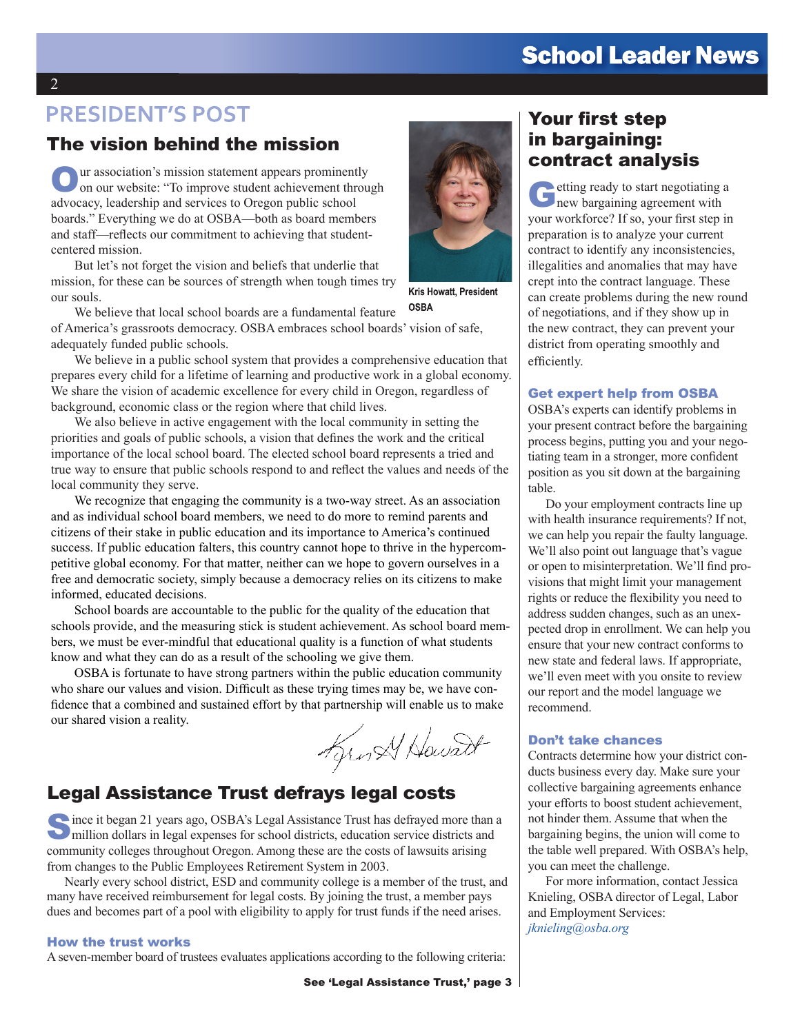# **School Leader News**

## **PRESIDENT'S POST**

## The vision behind the mission

Our association's mission statement appears prominently on our website: "To improve student achievement through advocacy, leadership and services to Oregon public school boards." Everything we do at OSBA—both as board members and staff—reflects our commitment to achieving that studentcentered mission.

But let's not forget the vision and beliefs that underlie that mission, for these can be sources of strength when tough times try our souls.

We believe that local school boards are a fundamental feature of America's grassroots democracy. OSBA embraces school boards' vision of safe, adequately funded public schools.

We believe in a public school system that provides a comprehensive education that prepares every child for a lifetime of learning and productive work in a global economy. We share the vision of academic excellence for every child in Oregon, regardless of background, economic class or the region where that child lives.

We also believe in active engagement with the local community in setting the priorities and goals of public schools, a vision that defines the work and the critical importance of the local school board. The elected school board represents a tried and true way to ensure that public schools respond to and reflect the values and needs of the local community they serve.

We recognize that engaging the community is a two-way street. As an association and as individual school board members, we need to do more to remind parents and citizens of their stake in public education and its importance to America's continued success. If public education falters, this country cannot hope to thrive in the hypercompetitive global economy. For that matter, neither can we hope to govern ourselves in a free and democratic society, simply because a democracy relies on its citizens to make informed, educated decisions.

School boards are accountable to the public for the quality of the education that schools provide, and the measuring stick is student achievement. As school board members, we must be ever-mindful that educational quality is a function of what students know and what they can do as a result of the schooling we give them.

OSBA is fortunate to have strong partners within the public education community who share our values and vision. Difficult as these trying times may be, we have confidence that a combined and sustained effort by that partnership will enable us to make our shared vision a reality.

Kunst Howard

## Legal Assistance Trust defrays legal costs

Since it began 21 years ago, OSBA's Legal Assistance Trust has defrayed more than a million dollars in legal expenses for school districts, education service districts and community colleges throughout Oregon. Among these are the costs of lawsuits arising from changes to the Public Employees Retirement System in 2003.

Nearly every school district, ESD and community college is a member of the trust, and many have received reimbursement for legal costs. By joining the trust, a member pays dues and becomes part of a pool with eligibility to apply for trust funds if the need arises.

#### How the trust works

A seven-member board of trustees evaluates applications according to the following criteria:



Kris Howatt, President OSBA

## Your first step in bargaining: contract analysis

etting ready to start negotiating a new bargaining agreement with your workforce? If so, your first step in preparation is to analyze your current contract to identify any inconsistencies, illegalities and anomalies that may have crept into the contract language. These can create problems during the new round of negotiations, and if they show up in the new contract, they can prevent your district from operating smoothly and efficiently.

#### Get expert help from OSBA

OSBA's experts can identify problems in your present contract before the bargaining process begins, putting you and your negotiating team in a stronger, more confident position as you sit down at the bargaining table.

Do your employment contracts line up with health insurance requirements? If not, we can help you repair the faulty language. We'll also point out language that's vague or open to misinterpretation. We'll find provisions that might limit your management rights or reduce the flexibility you need to address sudden changes, such as an unexpected drop in enrollment. We can help you ensure that your new contract conforms to new state and federal laws. If appropriate, we'll even meet with you onsite to review our report and the model language we recommend.

### Don't take chances

Contracts determine how your district conducts business every day. Make sure your collective bargaining agreements enhance your efforts to boost student achievement, not hinder them. Assume that when the bargaining begins, the union will come to the table well prepared. With OSBA's help, you can meet the challenge.

For more information, contact Jessica Knieling, OSBA director of Legal, Labor and Employment Services: *[jknieling@osba.org](mailto:jknieling@osba.org)*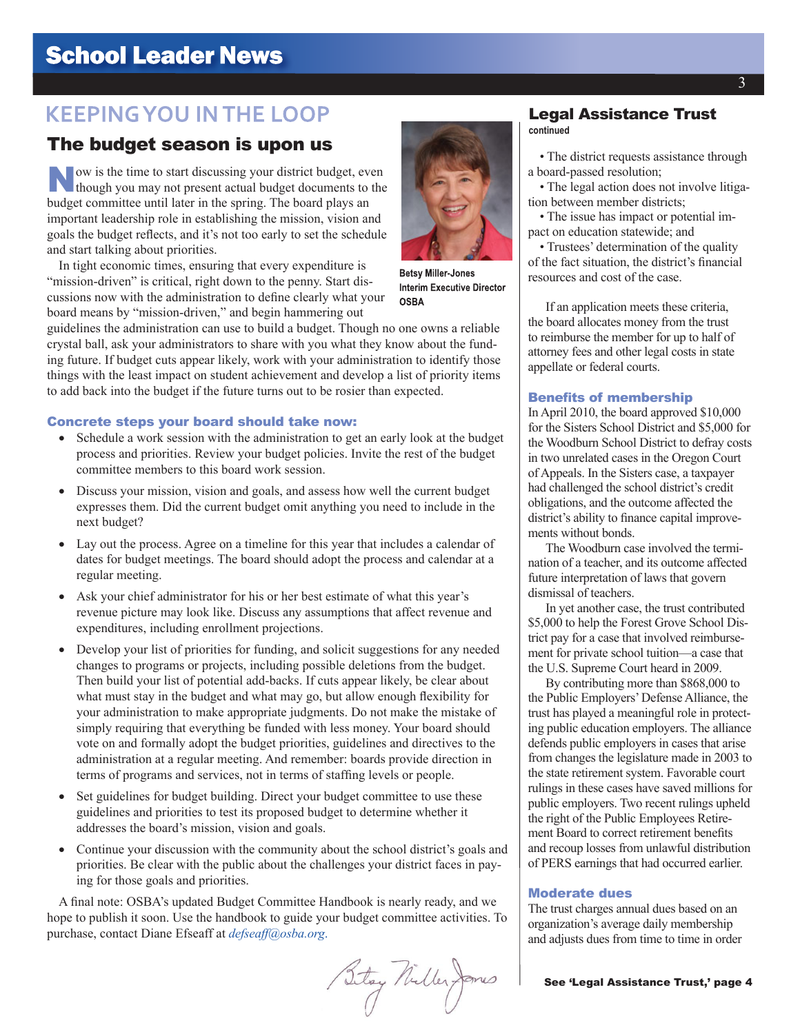# **School Leader News**

## **KEEPING YOU IN THE LOOP**

# The budget season is upon us **• The district requests assistance through**

Now is the time to start discussing your district budget, even though you may not present astual headers. though you may not present actual budget documents to the budget committee until later in the spring. The board plays an important leadership role in establishing the mission, vision and goals the budget reflects, and it's not too early to set the schedule and start talking about priorities.

In tight economic times, ensuring that every expenditure is "mission-driven" is critical, right down to the penny. Start discussions now with the administration to define clearly what your board means by "mission-driven," and begin hammering out

guidelines the administration can use to build a budget. Though no one owns a reliable crystal ball, ask your administrators to share with you what they know about the funding future. If budget cuts appear likely, work with your administration to identify those things with the least impact on student achievement and develop a list of priority items to add back into the budget if the future turns out to be rosier than expected.

#### Concrete steps your board should take now:

- Schedule a work session with the administration to get an early look at the budget process and priorities. Review your budget policies. Invite the rest of the budget committee members to this board work session.
- Discuss your mission, vision and goals, and assess how well the current budget expresses them. Did the current budget omit anything you need to include in the next budget?
- Lay out the process. Agree on a timeline for this year that includes a calendar of dates for budget meetings. The board should adopt the process and calendar at a regular meeting.
- Ask your chief administrator for his or her best estimate of what this year's revenue picture may look like. Discuss any assumptions that affect revenue and expenditures, including enrollment projections.
- • Develop your list of priorities for funding, and solicit suggestions for any needed changes to programs or projects, including possible deletions from the budget. Then build your list of potential add-backs. If cuts appear likely, be clear about what must stay in the budget and what may go, but allow enough flexibility for your administration to make appropriate judgments. Do not make the mistake of simply requiring that everything be funded with less money. Your board should vote on and formally adopt the budget priorities, guidelines and directives to the administration at a regular meeting. And remember: boards provide direction in terms of programs and services, not in terms of staffing levels or people.
- Set guidelines for budget building. Direct your budget committee to use these guidelines and priorities to test its proposed budget to determine whether it addresses the board's mission, vision and goals.
- Continue your discussion with the community about the school district's goals and priorities. Be clear with the public about the challenges your district faces in paying for those goals and priorities.

A final note: OSBA's updated Budget Committee Handbook is nearly ready, and we hope to publish it soon. Use the handbook to guide your budget committee activities. To purchase, contact Diane Efseaff at *defseaf[f@osba.org](mailto:defseaff%40osba.org?subject=)*.

Betay Nuller Janes

#### Legal Assistance Trust **continued**

a board-passed resolution;

• The legal action does not involve litigation between member districts;

• The issue has impact or potential impact on education statewide; and

• Trustees' determination of the quality of the fact situation, the district's financial resources and cost of the case.

If an application meets these criteria, the board allocates money from the trust to reimburse the member for up to half of attorney fees and other legal costs in state appellate or federal courts.

#### Benefits of membership

In April 2010, the board approved \$10,000 for the Sisters School District and \$5,000 for the Woodburn School District to defray costs in two unrelated cases in the Oregon Court of Appeals. In the Sisters case, a taxpayer had challenged the school district's credit obligations, and the outcome affected the district's ability to finance capital improvements without bonds.

The Woodburn case involved the termination of a teacher, and its outcome affected future interpretation of laws that govern dismissal of teachers.

In yet another case, the trust contributed \$5,000 to help the Forest Grove School District pay for a case that involved reimbursement for private school tuition—a case that the U.S. Supreme Court heard in 2009.

By contributing more than \$868,000 to the Public Employers' Defense Alliance, the trust has played a meaningful role in protecting public education employers. The alliance defends public employers in cases that arise from changes the legislature made in 2003 to the state retirement system. Favorable court rulings in these cases have saved millions for public employers. Two recent rulings upheld the right of the Public Employees Retirement Board to correct retirement benefits and recoup losses from unlawful distribution of PERS earnings that had occurred earlier.

#### Moderate dues

The trust charges annual dues based on an organization's average daily membership and adjusts dues from time to time in order



**Betsy Miller-Jones Interim Executive Director** 

**OSBA**